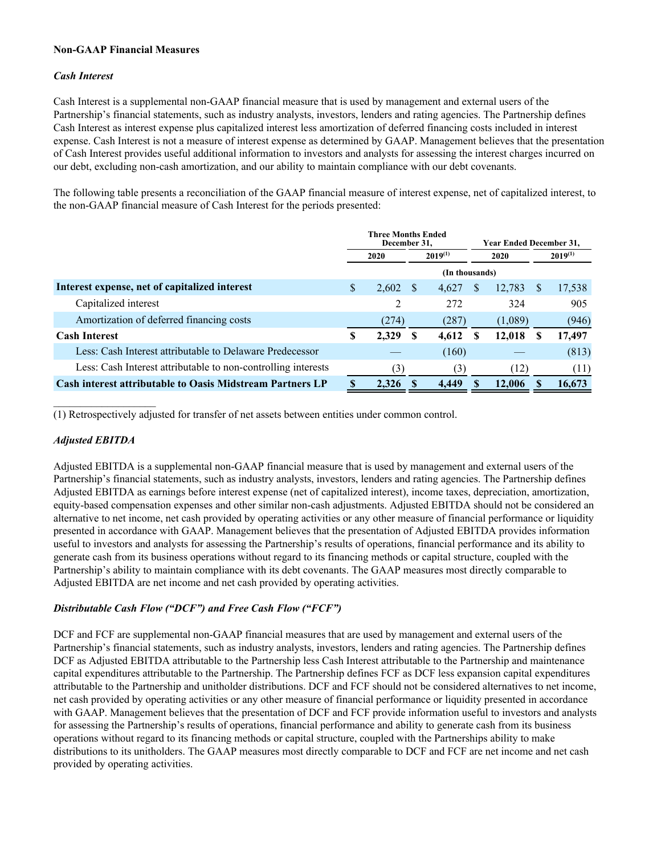## **Non-GAAP Financial Measures**

## *Cash Interest*

Cash Interest is a supplemental non-GAAP financial measure that is used by management and external users of the Partnership's financial statements, such as industry analysts, investors, lenders and rating agencies. The Partnership defines Cash Interest as interest expense plus capitalized interest less amortization of deferred financing costs included in interest expense. Cash Interest is not a measure of interest expense as determined by GAAP. Management believes that the presentation of Cash Interest provides useful additional information to investors and analysts for assessing the interest charges incurred on our debt, excluding non-cash amortization, and our ability to maintain compliance with our debt covenants.

The following table presents a reconciliation of the GAAP financial measure of interest expense, net of capitalized interest, to the non-GAAP financial measure of Cash Interest for the periods presented:

|                                                                  | <b>Three Months Ended</b><br>December 31, |                      |                |       | <b>Year Ended December 31,</b> |              |   |        |
|------------------------------------------------------------------|-------------------------------------------|----------------------|----------------|-------|--------------------------------|--------------|---|--------|
|                                                                  |                                           | $2019^{(1)}$<br>2020 |                | 2020  |                                | $2019^{(1)}$ |   |        |
|                                                                  |                                           |                      | (In thousands) |       |                                |              |   |        |
| Interest expense, net of capitalized interest                    | \$                                        | 2,602                | - S            | 4,627 | <sup>8</sup>                   | 12,783       | S | 17,538 |
| Capitalized interest                                             |                                           | 2                    |                | 272   |                                | 324          |   | 905    |
| Amortization of deferred financing costs                         |                                           | (274)                |                | (287) |                                | (1,089)      |   | (946)  |
| <b>Cash Interest</b>                                             | S                                         | 2,329                | -S             | 4,612 | -S                             | 12,018       |   | 17,497 |
| Less: Cash Interest attributable to Delaware Predecessor         |                                           |                      |                | (160) |                                |              |   | (813)  |
| Less: Cash Interest attributable to non-controlling interests    |                                           | (3)                  |                | (3)   |                                | (12)         |   | (11)   |
| <b>Cash interest attributable to Oasis Midstream Partners LP</b> |                                           | 2,326                |                | 4.449 |                                | 12,006       |   | 16,673 |

(1) Retrospectively adjusted for transfer of net assets between entities under common control.

## *Adjusted EBITDA*

 $\mathcal{L}_\text{max}$  , where  $\mathcal{L}_\text{max}$  and  $\mathcal{L}_\text{max}$ 

Adjusted EBITDA is a supplemental non-GAAP financial measure that is used by management and external users of the Partnership's financial statements, such as industry analysts, investors, lenders and rating agencies. The Partnership defines Adjusted EBITDA as earnings before interest expense (net of capitalized interest), income taxes, depreciation, amortization, equity-based compensation expenses and other similar non-cash adjustments. Adjusted EBITDA should not be considered an alternative to net income, net cash provided by operating activities or any other measure of financial performance or liquidity presented in accordance with GAAP. Management believes that the presentation of Adjusted EBITDA provides information useful to investors and analysts for assessing the Partnership's results of operations, financial performance and its ability to generate cash from its business operations without regard to its financing methods or capital structure, coupled with the Partnership's ability to maintain compliance with its debt covenants. The GAAP measures most directly comparable to Adjusted EBITDA are net income and net cash provided by operating activities.

## *Distributable Cash Flow ("DCF") and Free Cash Flow ("FCF")*

DCF and FCF are supplemental non-GAAP financial measures that are used by management and external users of the Partnership's financial statements, such as industry analysts, investors, lenders and rating agencies. The Partnership defines DCF as Adjusted EBITDA attributable to the Partnership less Cash Interest attributable to the Partnership and maintenance capital expenditures attributable to the Partnership. The Partnership defines FCF as DCF less expansion capital expenditures attributable to the Partnership and unitholder distributions. DCF and FCF should not be considered alternatives to net income, net cash provided by operating activities or any other measure of financial performance or liquidity presented in accordance with GAAP. Management believes that the presentation of DCF and FCF provide information useful to investors and analysts for assessing the Partnership's results of operations, financial performance and ability to generate cash from its business operations without regard to its financing methods or capital structure, coupled with the Partnerships ability to make distributions to its unitholders. The GAAP measures most directly comparable to DCF and FCF are net income and net cash provided by operating activities.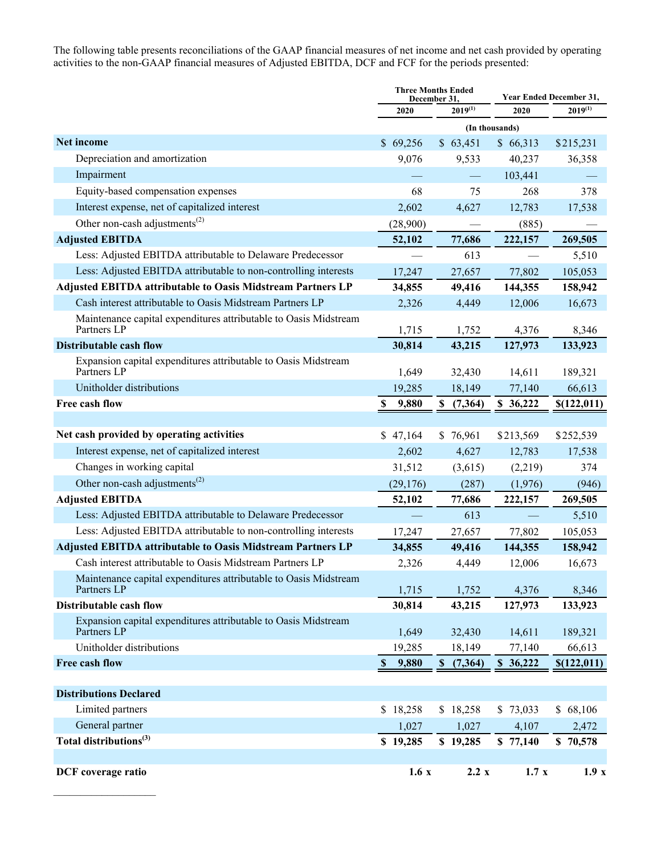The following table presents reconciliations of the GAAP financial measures of net income and net cash provided by operating activities to the non-GAAP financial measures of Adjusted EBITDA, DCF and FCF for the periods presented:

|                                                                                 |                                    | <b>Three Months Ended</b><br>December 31, |           | Year Ended December 31, |  |
|---------------------------------------------------------------------------------|------------------------------------|-------------------------------------------|-----------|-------------------------|--|
|                                                                                 | 2020                               | $2019^{(1)}$                              | 2020      | $2019^{(1)}$            |  |
|                                                                                 |                                    | (In thousands)                            |           |                         |  |
| Net income                                                                      | \$69,256                           | \$63,451                                  | \$66,313  | \$215,231               |  |
| Depreciation and amortization                                                   | 9,076                              | 9,533                                     | 40,237    | 36,358                  |  |
| Impairment                                                                      |                                    |                                           | 103,441   |                         |  |
| Equity-based compensation expenses                                              | 68                                 | 75                                        | 268       | 378                     |  |
| Interest expense, net of capitalized interest                                   | 2,602                              | 4,627                                     | 12,783    | 17,538                  |  |
| Other non-cash adjustments <sup>(2)</sup>                                       | (28,900)                           |                                           | (885)     |                         |  |
| <b>Adjusted EBITDA</b>                                                          | 52,102                             | 77,686                                    | 222,157   | 269,505                 |  |
| Less: Adjusted EBITDA attributable to Delaware Predecessor                      |                                    | 613                                       |           | 5,510                   |  |
| Less: Adjusted EBITDA attributable to non-controlling interests                 | 17,247                             | 27,657                                    | 77,802    | 105,053                 |  |
| <b>Adjusted EBITDA attributable to Oasis Midstream Partners LP</b>              | 34,855                             | 49,416                                    | 144,355   | 158,942                 |  |
| Cash interest attributable to Oasis Midstream Partners LP                       | 2,326                              | 4,449                                     | 12,006    | 16,673                  |  |
| Maintenance capital expenditures attributable to Oasis Midstream<br>Partners LP | 1,715                              | 1,752                                     | 4,376     | 8,346                   |  |
| <b>Distributable cash flow</b>                                                  | 30,814                             | 43,215                                    | 127,973   | 133,923                 |  |
| Expansion capital expenditures attributable to Oasis Midstream<br>Partners LP   | 1,649                              | 32,430                                    | 14,611    | 189,321                 |  |
| Unitholder distributions                                                        | 19,285                             | 18,149                                    | 77,140    | 66,613                  |  |
| Free cash flow                                                                  | \$<br>9,880                        | (7,364)<br>S                              | \$36,222  | \$(122, 011)            |  |
|                                                                                 |                                    |                                           |           |                         |  |
| Net cash provided by operating activities                                       | \$47,164                           | \$76,961                                  | \$213,569 | \$252,539               |  |
| Interest expense, net of capitalized interest                                   | 2,602                              | 4,627                                     | 12,783    | 17,538                  |  |
| Changes in working capital                                                      | 31,512                             | (3,615)                                   | (2,219)   | 374                     |  |
| Other non-cash adjustments <sup>(2)</sup>                                       | (29, 176)                          | (287)                                     | (1,976)   | (946)                   |  |
| <b>Adjusted EBITDA</b>                                                          | 52,102                             | 77,686                                    | 222,157   | 269,505                 |  |
| Less: Adjusted EBITDA attributable to Delaware Predecessor                      |                                    | 613                                       |           | 5,510                   |  |
| Less: Adjusted EBITDA attributable to non-controlling interests                 | 17,247                             | 27,657                                    | 77,802    | 105,053                 |  |
| <b>Adjusted EBITDA attributable to Oasis Midstream Partners LP</b>              | 34,855                             | 49,416                                    | 144,355   | 158,942                 |  |
| Cash interest attributable to Oasis Midstream Partners LP                       | 2,326                              | 4,449                                     | 12,006    | 16,673                  |  |
| Maintenance capital expenditures attributable to Oasis Midstream<br>Partners LP | 1,715                              | 1,752                                     | 4,376     | 8,346                   |  |
| Distributable cash flow                                                         | 30,814                             | 43,215                                    | 127,973   | 133,923                 |  |
| Expansion capital expenditures attributable to Oasis Midstream<br>Partners LP   | 1,649                              | 32,430                                    | 14,611    | 189,321                 |  |
| Unitholder distributions                                                        | 19,285                             | 18,149                                    | 77,140    | 66,613                  |  |
| Free cash flow                                                                  | $\boldsymbol{\mathsf{S}}$<br>9,880 | (7, 364)<br>\$                            | \$36,222  | \$(122, 011)            |  |
| <b>Distributions Declared</b>                                                   |                                    |                                           |           |                         |  |
| Limited partners                                                                | \$18,258                           | \$18,258                                  | \$73,033  | \$68,106                |  |
| General partner                                                                 | 1,027                              | 1,027                                     | 4,107     | 2,472                   |  |
| Total distributions <sup>(3)</sup>                                              | \$19,285                           | \$19,285                                  | \$77,140  | \$70,578                |  |
|                                                                                 |                                    |                                           |           |                         |  |
| DCF coverage ratio                                                              | 1.6x                               | 2.2 x                                     | 1.7x      | 1.9x                    |  |

 $\mathcal{L}_\text{max}$  , where  $\mathcal{L}_\text{max}$  and  $\mathcal{L}_\text{max}$